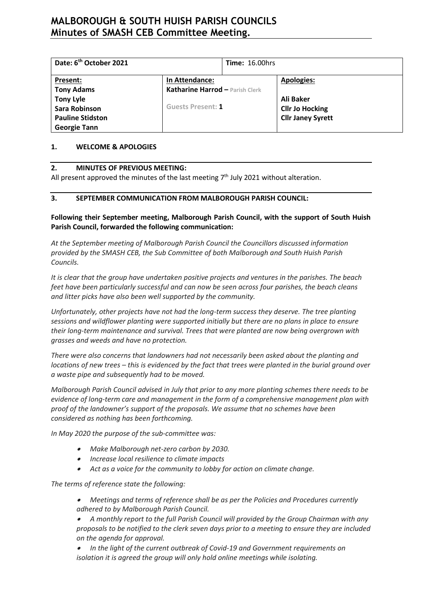# **MALBOROUGH & SOUTH HUISH PARISH COUNCILS Minutes of SMASH CEB Committee Meeting.**

| Date: 6 <sup>th</sup> October 2021       |                                                   | <b>Time: 16.00hrs</b> |                                                    |
|------------------------------------------|---------------------------------------------------|-----------------------|----------------------------------------------------|
| Present:<br><b>Tony Adams</b>            | In Attendance:<br>Katharine Harrod - Parish Clerk |                       | <b>Apologies:</b>                                  |
| <b>Tony Lyle</b><br><b>Sara Robinson</b> | <b>Guests Present: 1</b>                          |                       | Ali Baker                                          |
| <b>Pauline Stidston</b>                  |                                                   |                       | <b>Cllr Jo Hocking</b><br><b>Cllr Janey Syrett</b> |
| <b>Georgie Tann</b>                      |                                                   |                       |                                                    |

#### **1. WELCOME & APOLOGIES**

#### **2. MINUTES OF PREVIOUS MEETING:**

All present approved the minutes of the last meeting  $7<sup>th</sup>$  July 2021 without alteration.

## **3. SEPTEMBER COMMUNICATION FROM MALBOROUGH PARISH COUNCIL:**

## **Following their September meeting, Malborough Parish Council, with the support of South Huish Parish Council, forwarded the following communication:**

*At the September meeting of Malborough Parish Council the Councillors discussed information provided by the SMASH CEB, the Sub Committee of both Malborough and South Huish Parish Councils.*

*It is clear that the group have undertaken positive projects and ventures in the parishes. The beach feet have been particularly successful and can now be seen across four parishes, the beach cleans and litter picks have also been well supported by the community.*

*Unfortunately, other projects have not had the long-term success they deserve. The tree planting sessions and wildflower planting were supported initially but there are no plans in place to ensure their long-term maintenance and survival. Trees that were planted are now being overgrown with grasses and weeds and have no protection.*

*There were also concerns that landowners had not necessarily been asked about the planting and locations of new trees – this is evidenced by the fact that trees were planted in the burial ground over a waste pipe and subsequently had to be moved.*

*Malborough Parish Council advised in July that prior to any more planting schemes there needs to be evidence of long-term care and management in the form of a comprehensive management plan with proof of the landowner's support of the proposals. We assume that no schemes have been considered as nothing has been forthcoming.*

*In May 2020 the purpose of the sub-committee was:*

- • *Make Malborough net-zero carbon by 2030.*
- • *Increase local resilience to climate impacts*
- • *Act as a voice for the community to lobby for action on climate change.*

*The terms of reference state the following:*

- • *Meetings and terms of reference shall be as per the Policies and Procedures currently adhered to by Malborough Parish Council.*
- • *A monthly report to the full Parish Council will provided by the Group Chairman with any proposals to be notified to the clerk seven days prior to a meeting to ensure they are included on the agenda for approval.*
- • *In the light of the current outbreak of Covid-19 and Government requirements on isolation it is agreed the group will only hold online meetings while isolating.*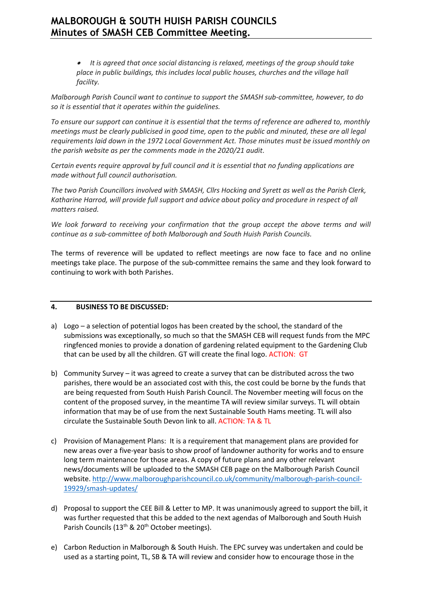# **MALBOROUGH & SOUTH HUISH PARISH COUNCILS Minutes of SMASH CEB Committee Meeting.**

• *It is agreed that once social distancing is relaxed, meetings of the group should take place in public buildings, this includes local public houses, churches and the village hall facility.*

*Malborough Parish Council want to continue to support the SMASH sub-committee, however, to do so it is essential that it operates within the guidelines.* 

*To ensure our support can continue it is essential that the terms of reference are adhered to, monthly meetings must be clearly publicised in good time, open to the public and minuted, these are all legal requirements laid down in the 1972 Local Government Act. Those minutes must be issued monthly on the parish website as per the comments made in the 2020/21 audit.* 

*Certain events require approval by full council and it is essential that no funding applications are made without full council authorisation.*

*The two Parish Councillors involved with SMASH, Cllrs Hocking and Syrett as well as the Parish Clerk, Katharine Harrod, will provide full support and advice about policy and procedure in respect of all matters raised.*

*We look forward to receiving your confirmation that the group accept the above terms and will continue as a sub-committee of both Malborough and South Huish Parish Councils.*

The terms of reverence will be updated to reflect meetings are now face to face and no online meetings take place. The purpose of the sub-committee remains the same and they look forward to continuing to work with both Parishes.

### **4. BUSINESS TO BE DISCUSSED:**

- a) Logo a selection of potential logos has been created by the school, the standard of the submissions was exceptionally, so much so that the SMASH CEB will request funds from the MPC ringfenced monies to provide a donation of gardening related equipment to the Gardening Club that can be used by all the children. GT will create the final logo. ACTION: GT
- b) Community Survey it was agreed to create a survey that can be distributed across the two parishes, there would be an associated cost with this, the cost could be borne by the funds that are being requested from South Huish Parish Council. The November meeting will focus on the content of the proposed survey, in the meantime TA will review similar surveys. TL will obtain information that may be of use from the next Sustainable South Hams meeting. TL will also circulate the Sustainable South Devon link to all. ACTION: TA & TL
- c) Provision of Management Plans: It is a requirement that management plans are provided for new areas over a five-year basis to show proof of landowner authority for works and to ensure long term maintenance for those areas. A copy of future plans and any other relevant news/documents will be uploaded to the SMASH CEB page on the Malborough Parish Council website[. http://www.malboroughparishcouncil.co.uk/community/malborough-parish-council-](http://www.malboroughparishcouncil.co.uk/community/malborough-parish-council-19929/smash-updates/)[19929/smash-updates/](http://www.malboroughparishcouncil.co.uk/community/malborough-parish-council-19929/smash-updates/)
- d) Proposal to support the CEE Bill & Letter to MP. It was unanimously agreed to support the bill, it was further requested that this be added to the next agendas of Malborough and South Huish Parish Councils (13<sup>th</sup> & 20<sup>th</sup> October meetings).
- e) Carbon Reduction in Malborough & South Huish. The EPC survey was undertaken and could be used as a starting point, TL, SB & TA will review and consider how to encourage those in the